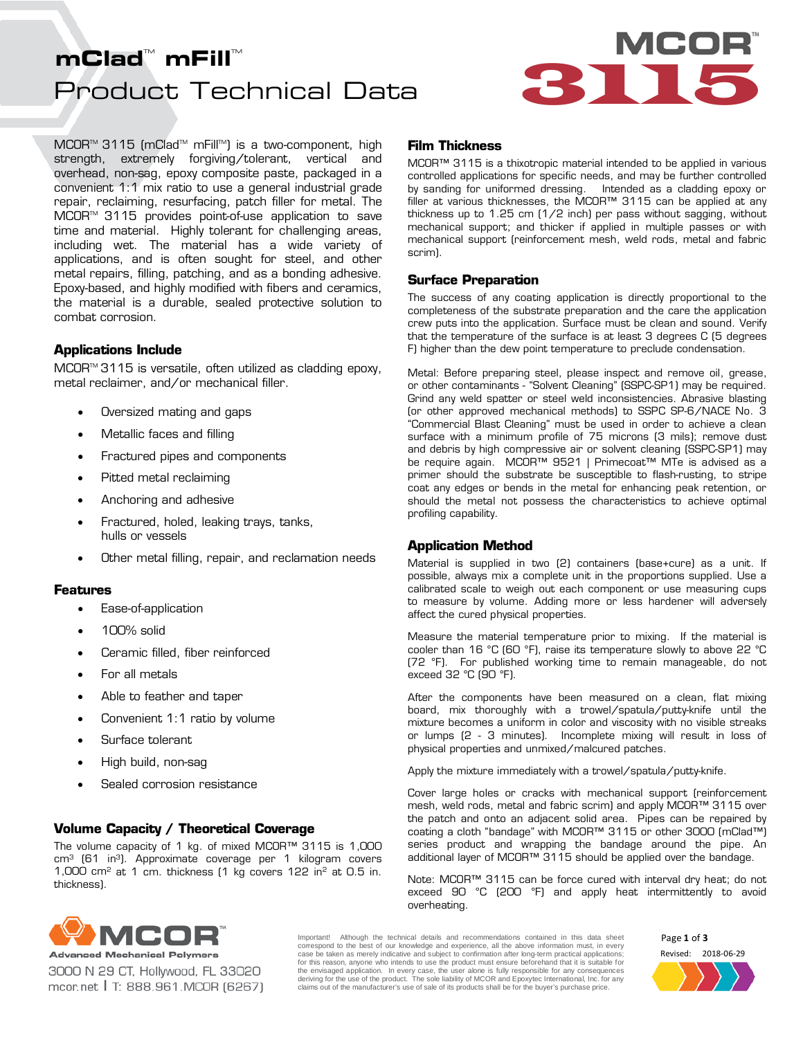# Product Technical Data **mClad**™ **mFill**™<br>Product Technical Data **1999 115**



MCOR<sup>™</sup> 3115 (mClad<sup>™</sup> mFill<sup>™</sup>) is a two-component, high strength, extremely forgiving/tolerant, vertical and overhead, non-sag, epoxy composite paste, packaged in a convenient 1:1 mix ratio to use a general industrial grade repair, reclaiming, resurfacing, patch filler for metal. The MCORTM 3115 provides point-of-use application to save time and material. Highly tolerant for challenging areas, including wet. The material has a wide variety of applications, and is often sought for steel, and other metal repairs, filling, patching, and as a bonding adhesive. Epoxy-based, and highly modified with fibers and ceramics, the material is a durable, sealed protective solution to combat corrosion.

# **Applications Include**

MCOR<sup>™</sup> 3115 is versatile, often utilized as cladding epoxy, metal reclaimer, and/or mechanical filler.

- Oversized mating and gaps
- Metallic faces and filling
- Fractured pipes and components
- Pitted metal reclaiming
- Anchoring and adhesive
- Fractured, holed, leaking trays, tanks, hulls or vessels
- Other metal filling, repair, and reclamation needs

### **Features**

- Ease-of-application
- 100% solid
- Ceramic filled, fiber reinforced
- For all metals
- Able to feather and taper
- Convenient 1:1 ratio by volume
- Surface tolerant
- High build, non-sag
- Sealed corrosion resistance

# **Volume Capacity / Theoretical Coverage**

The volume capacity of 1 kg. of mixed MCOR™ 3115 is 1,000 cm<sup>3</sup> (61 in<sup>3</sup>). Approximate coverage per 1 kilogram covers 1,000 cm2 at 1 cm. thickness (1 kg covers 122 in2 at 0.5 in. thickness).

## **Film Thickness**

MCOR™ 3115 is a thixotropic material intended to be applied in various controlled applications for specific needs, and may be further controlled by sanding for uniformed dressing. Intended as a cladding epoxy or filler at various thicknesses, the MCOR™ 3115 can be applied at any thickness up to 1.25 cm (1/2 inch) per pass without sagging, without mechanical support; and thicker if applied in multiple passes or with mechanical support (reinforcement mesh, weld rods, metal and fabric scrim).

# **Surface Preparation**

The success of any coating application is directly proportional to the completeness of the substrate preparation and the care the application crew puts into the application. Surface must be clean and sound. Verify that the temperature of the surface is at least 3 degrees C (5 degrees F) higher than the dew point temperature to preclude condensation.

Metal: Before preparing steel, please inspect and remove oil, grease, or other contaminants - "Solvent Cleaning" (SSPC-SP1) may be required. Grind any weld spatter or steel weld inconsistencies. Abrasive blasting (or other approved mechanical methods) to SSPC SP-6/NACE No. 3 "Commercial Blast Cleaning" must be used in order to achieve a clean surface with a minimum profile of 75 microns (3 mils); remove dust and debris by high compressive air or solvent cleaning (SSPC-SP1) may be require again. MCOR™ 9521 | Primecoat™ MTe is advised as a primer should the substrate be susceptible to flash-rusting, to stripe coat any edges or bends in the metal for enhancing peak retention, or should the metal not possess the characteristics to achieve optimal profiling capability.

# **Application Method**

Material is supplied in two (2) containers (base+cure) as a unit. If possible, always mix a complete unit in the proportions supplied. Use a calibrated scale to weigh out each component or use measuring cups to measure by volume. Adding more or less hardener will adversely affect the cured physical properties.

Measure the material temperature prior to mixing. If the material is cooler than 16 °C (60 °F), raise its temperature slowly to above 22 °C (72 °F). For published working time to remain manageable, do not exceed 32 °C (90 °F).

After the components have been measured on a clean, flat mixing board, mix thoroughly with a trowel/spatula/putty-knife until the mixture becomes a uniform in color and viscosity with no visible streaks or lumps (2 - 3 minutes). Incomplete mixing will result in loss of physical properties and unmixed/malcured patches.

Apply the mixture immediately with a trowel/spatula/putty-knife.

Cover large holes or cracks with mechanical support (reinforcement mesh, weld rods, metal and fabric scrim) and apply MCOR™ 3115 over the patch and onto an adjacent solid area. Pipes can be repaired by coating a cloth "bandage" with MCOR™ 3115 or other 3000 (mClad™) series product and wrapping the bandage around the pipe. An additional layer of MCOR™ 3115 should be applied over the bandage.

Note: MCOR™ 3115 can be force cured with interval dry heat; do not exceed 90 °C (200 °F) and apply heat intermittently to avoid overheating.



3000 N 29 CT, Hollywood, FL 33020 mcor.net | T: 888.961.MCOR (6267) Important! Although the technical details and recommendations contained in this data sheet correspond to the best of our knowledge and experience, all the above information must, in every case be taken as merely indicative and subject to confirmation after long-term practical applications; for this reason, anyone who intends to use the product must ensure beforehand that it is suitable for the envisaged application. In every case, the user alone is fully responsible for any consequences<br>deriving for the use of the product. The sole liability of MCOR and Epoxytec International, Inc. for any claims out of the manufacturer's use of sale of its products shall be for the buyer's purchase price.

Revised: 2018-06-29 Page **1** of **3**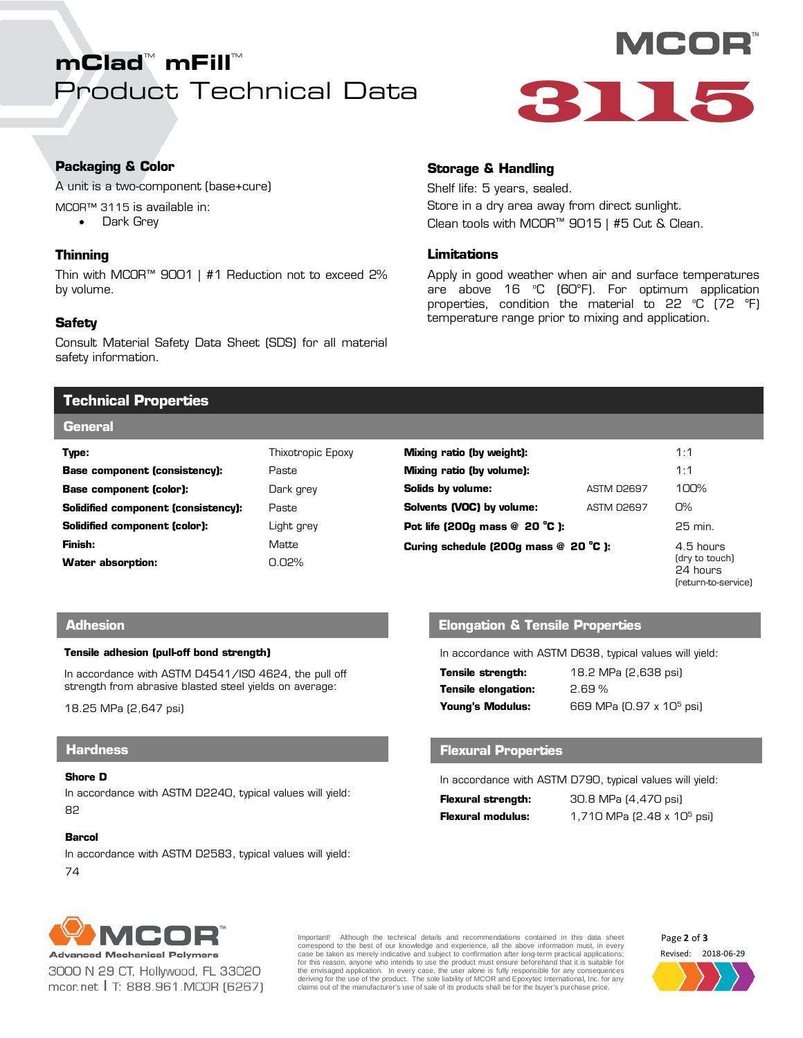# Product Technical Data **mClad™ mFill™**



# **Packaging & Color**

A unit is a two-component (base+cure)

MCOR™ 3115 is available in:

• Dark Grey

# **Thinning**

Thin with MCOR™ 9001 | #1 Reduction not to exceed 2% by volume.

# **Safety**

Consult Material Safety Data Sheet (SDS) for all material safety information.

# **Storage & Handling**

Shelf life: 5 years, sealed. Store in a dry area away from direct sunlight. Clean tools with MCOR™ 9015 | #5 Cut & Clean.

# **Limitations**

Apply in good weather when air and surface temperatures are above 16 °C (60°F). For optimum application properties, condition the material to 22 °C (72 °F) temperature range prior to mixing and application.

# **Technical Properties**

### **General**

| Type:                                      | Thixotropic Epoxy | Mixing ratio (by weight):               |                   | 1:1                                               |
|--------------------------------------------|-------------------|-----------------------------------------|-------------------|---------------------------------------------------|
| <b>Base component (consistency):</b>       | Paste             | Mixing ratio (by volume):               |                   | 1:1                                               |
| <b>Base component (color):</b>             | Dark grey         | Solids by volume:                       | ASTM D2697        | 100%                                              |
| <b>Solidified component (consistency):</b> | Paste             | Solvents (VOC) by volume:               | <b>ASTM D2697</b> | O%                                                |
| <b>Solidified component (color):</b>       | Light grey        | Pot life (200q mass $@$ 20 $°C$ ):      |                   | 25 min.                                           |
| Finish:                                    | Matte             | Curing schedule (200g mass $@$ 20 °C ): |                   | 4.5 hours                                         |
| <b>Water absorption:</b>                   | $0.02\%$          |                                         |                   | (dry to touch)<br>24 hours<br>(return-to-service) |

### **Adhesion**

#### **Tensile adhesion (pull-off bond strength)**

In accordance with ASTM D4541/ISO 4624, the pull off strength from abrasive blasted steel yields on average:

18.25 MPa (2,647 psi)

### **Shore D**

In accordance with ASTM D2240, typical values will yield: 82

### **Barcol**

In accordance with ASTM D2583, typical values will yield: 74

# **Elongation & Tensile Properties**

In accordance with ASTM D638, typical values will yield:

| Tensile strength:   | 18.2 MPa (2,638 psi)                 |
|---------------------|--------------------------------------|
| Tensile elongation: | 2.69%                                |
| Young's Modulus:    | 669 MPa (0.97 x 10 <sup>5</sup> psi) |

# **Hardness Flexural Properties**

In accordance with ASTM D790, typical values will yield:

**Flexural strength:** 30.8 MPa (4,470 psi) **Flexural modulus:** 1,710 MPa (2.48 x 10<sup>5</sup> psi)



3000 N 29 CT, Hollywood, FL 33020 mcor.net | T: 888.961.MCOR (6267) Important! Although the technical details and recommendations contained in this data sheet correspond to the best of our knowledge and experience, all the above information must, in every case be taken as merely indicative and subject to confirmation after long-term practical applications; for this reason, anyone who intends to use the product must ensure beforehand that it is suitable for the envisaged application. In every case, the user alone is fully responsible for any consequences<br>deriving for the use of the product. The sole liability of MCOR and Epoxytec International, Inc. for any claims out of the manufacturer's use of sale of its products shall be for the buyer's purchase price.